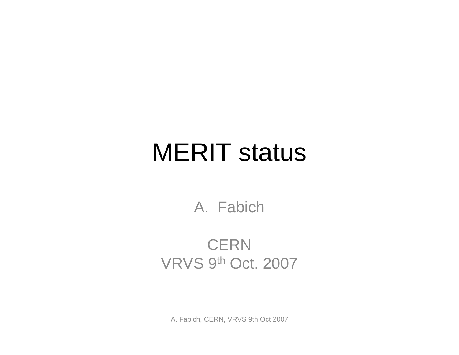## MERIT status

A. Fabich

#### CERN VRVS 9th Oct. 2007

A. Fabich, CERN, VRVS 9th Oct 2007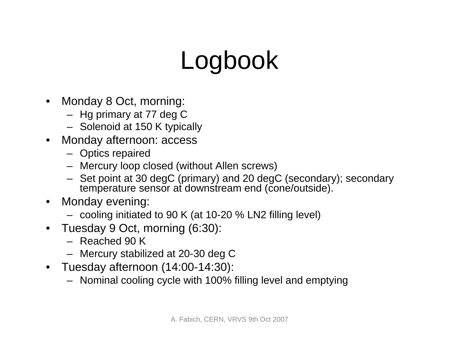# Logbook

- $\bullet$  Monday 8 Oct, morning:
	- Hg primary at 77 deg C
	- Solenoid at 150 K typically
- Monday afternoon: access
	- Optics repaired
	- Mercury loop closed (without Allen screws)
	- Set point at 30 degC (primary) and 20 degC (secondary); secondary temperature sensor at downstream end (cone/outside).
- Monday evening:
	- cooling initiated to 90 K (at 10-20 % LN2 filling level)
- Tuesday 9 Oct, morning (6:30):
	- Reached 90 K
	- Mercury stabilized at 20-30 deg C
- Tuesday afternoon (14:00-14:30):
	- Nominal cooling cycle with 100% filling level and emptying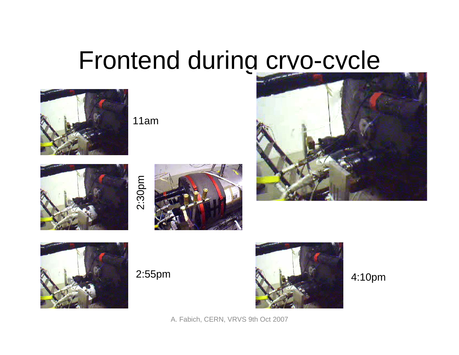# Frontend during cryo-cycle



11am









A. Fabich, CERN, VRVS 9th Oct 2007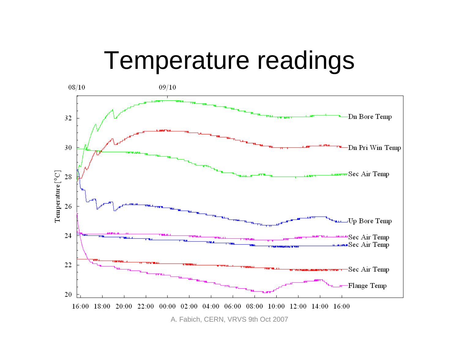#### Temperature readings